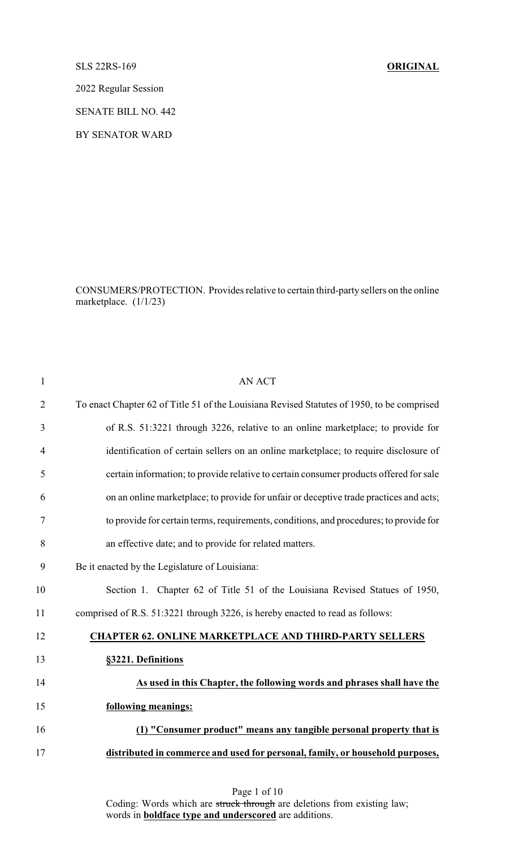## SLS 22RS-169 **ORIGINAL**

2022 Regular Session

SENATE BILL NO. 442

BY SENATOR WARD

CONSUMERS/PROTECTION. Provides relative to certain third-party sellers on the online marketplace. (1/1/23)

| $\mathbf{1}$   | <b>AN ACT</b>                                                                              |
|----------------|--------------------------------------------------------------------------------------------|
| $\overline{2}$ | To enact Chapter 62 of Title 51 of the Louisiana Revised Statutes of 1950, to be comprised |
| 3              | of R.S. 51:3221 through 3226, relative to an online marketplace; to provide for            |
| 4              | identification of certain sellers on an online marketplace; to require disclosure of       |
| 5              | certain information; to provide relative to certain consumer products offered for sale     |
| 6              | on an online marketplace; to provide for unfair or deceptive trade practices and acts;     |
| 7              | to provide for certain terms, requirements, conditions, and procedures; to provide for     |
| 8              | an effective date; and to provide for related matters.                                     |
| 9              | Be it enacted by the Legislature of Louisiana:                                             |
| 10             | Section 1. Chapter 62 of Title 51 of the Louisiana Revised Statues of 1950,                |
| 11             | comprised of R.S. 51:3221 through 3226, is hereby enacted to read as follows:              |
| 12             | <b>CHAPTER 62. ONLINE MARKETPLACE AND THIRD-PARTY SELLERS</b>                              |
| 13             | §3221. Definitions                                                                         |
| 14             | As used in this Chapter, the following words and phrases shall have the                    |
| 15             | following meanings:                                                                        |
| 16             | (1) "Consumer product" means any tangible personal property that is                        |
| 17             | distributed in commerce and used for personal, family, or household purposes,              |
|                |                                                                                            |

Page 1 of 10

Coding: Words which are struck through are deletions from existing law; words in **boldface type and underscored** are additions.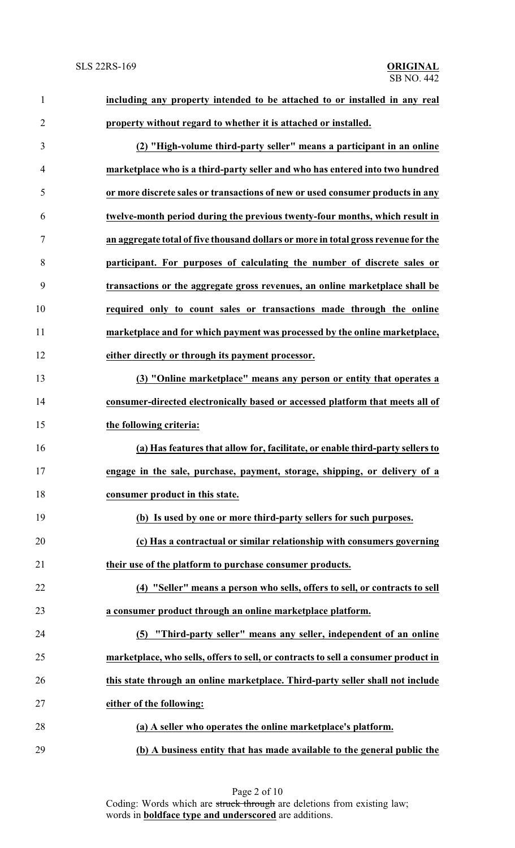| $\mathbf{1}$   | including any property intended to be attached to or installed in any real         |
|----------------|------------------------------------------------------------------------------------|
| $\overline{2}$ | property without regard to whether it is attached or installed.                    |
| 3              | (2) "High-volume third-party seller" means a participant in an online              |
| 4              | marketplace who is a third-party seller and who has entered into two hundred       |
| 5              | or more discrete sales or transactions of new or used consumer products in any     |
| 6              | twelve-month period during the previous twenty-four months, which result in        |
| $\tau$         | an aggregate total of five thousand dollars or more in total gross revenue for the |
| 8              | participant. For purposes of calculating the number of discrete sales or           |
| 9              | transactions or the aggregate gross revenues, an online marketplace shall be       |
| 10             | required only to count sales or transactions made through the online               |
| 11             | marketplace and for which payment was processed by the online marketplace,         |
| 12             | either directly or through its payment processor.                                  |
| 13             | (3) "Online marketplace" means any person or entity that operates a                |
| 14             | consumer-directed electronically based or accessed platform that meets all of      |
| 15             | the following criteria:                                                            |
| 16             | (a) Has features that allow for, facilitate, or enable third-party sellers to      |
| 17             | engage in the sale, purchase, payment, storage, shipping, or delivery of a         |
| 18             | consumer product in this state.                                                    |
| 19             | (b) Is used by one or more third-party sellers for such purposes.                  |
| 20             | (c) Has a contractual or similar relationship with consumers governing             |
| 21             | their use of the platform to purchase consumer products.                           |
| 22             | (4) "Seller" means a person who sells, offers to sell, or contracts to sell        |
| 23             | a consumer product through an online marketplace platform.                         |
| 24             | (5) "Third-party seller" means any seller, independent of an online                |
| 25             | marketplace, who sells, offers to sell, or contracts to sell a consumer product in |
| 26             | this state through an online marketplace. Third-party seller shall not include     |
| 27             | either of the following:                                                           |
| 28             | (a) A seller who operates the online marketplace's platform.                       |
| 29             | (b) A business entity that has made available to the general public the            |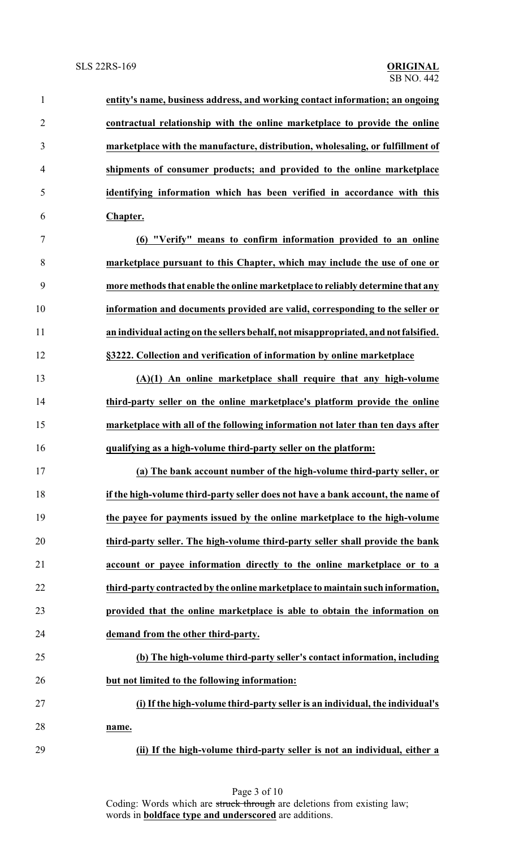| $\mathbf{1}$   | entity's name, business address, and working contact information; an ongoing        |
|----------------|-------------------------------------------------------------------------------------|
| $\overline{2}$ | contractual relationship with the online marketplace to provide the online          |
| $\mathfrak{Z}$ | marketplace with the manufacture, distribution, wholesaling, or fulfillment of      |
| $\overline{4}$ | shipments of consumer products; and provided to the online marketplace              |
| 5              | identifying information which has been verified in accordance with this             |
| 6              | Chapter.                                                                            |
| $\overline{7}$ | (6) "Verify" means to confirm information provided to an online                     |
| 8              | marketplace pursuant to this Chapter, which may include the use of one or           |
| 9              | more methods that enable the online marketplace to reliably determine that any      |
| 10             | information and documents provided are valid, corresponding to the seller or        |
| 11             | an individual acting on the sellers behalf, not misappropriated, and not falsified. |
| 12             | §3222. Collection and verification of information by online marketplace             |
| 13             | $(A)(1)$ An online marketplace shall require that any high-volume                   |
| 14             | third-party seller on the online marketplace's platform provide the online          |
| 15             | marketplace with all of the following information not later than ten days after     |
| 16             | qualifying as a high-volume third-party seller on the platform:                     |
| 17             | (a) The bank account number of the high-volume third-party seller, or               |
| 18             | if the high-volume third-party seller does not have a bank account, the name of     |
| 19             | the payee for payments issued by the online marketplace to the high-volume          |
| 20             | third-party seller. The high-volume third-party seller shall provide the bank       |
| 21             | account or payee information directly to the online marketplace or to a             |
| 22             | third-party contracted by the online marketplace to maintain such information,      |
| 23             | provided that the online marketplace is able to obtain the information on           |
| 24             | demand from the other third-party.                                                  |
| 25             | (b) The high-volume third-party seller's contact information, including             |
| 26             | but not limited to the following information:                                       |
| 27             | (i) If the high-volume third-party seller is an individual, the individual's        |
| 28             | name.                                                                               |
| 29             | (ii) If the high-volume third-party seller is not an individual, either a           |

Page 3 of 10 Coding: Words which are struck through are deletions from existing law; words in **boldface type and underscored** are additions.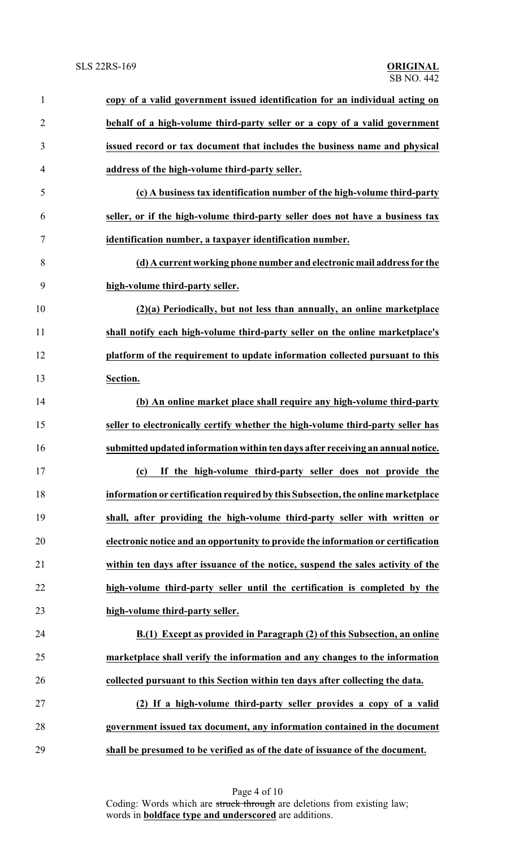| $\mathbf{1}$   | copy of a valid government issued identification for an individual acting on     |
|----------------|----------------------------------------------------------------------------------|
| $\overline{2}$ | behalf of a high-volume third-party seller or a copy of a valid government       |
| 3              | issued record or tax document that includes the business name and physical       |
| 4              | address of the high-volume third-party seller.                                   |
| 5              | (c) A business tax identification number of the high-volume third-party          |
| 6              | seller, or if the high-volume third-party seller does not have a business tax    |
| 7              | identification number, a taxpayer identification number.                         |
| 8              | (d) A current working phone number and electronic mail address for the           |
| 9              | high-volume third-party seller.                                                  |
| 10             | (2)(a) Periodically, but not less than annually, an online marketplace           |
| 11             | shall notify each high-volume third-party seller on the online marketplace's     |
| 12             | platform of the requirement to update information collected pursuant to this     |
| 13             | Section.                                                                         |
| 14             | (b) An online market place shall require any high-volume third-party             |
| 15             | seller to electronically certify whether the high-volume third-party seller has  |
| 16             | submitted updated information within ten days after receiving an annual notice.  |
| 17             | (c) If the high-volume third-party seller does not provide the                   |
| 18             | information or certification required by this Subsection, the online marketplace |
| 19             | shall, after providing the high-volume third-party seller with written or        |
| 20             | electronic notice and an opportunity to provide the information or certification |
| 21             | within ten days after issuance of the notice, suspend the sales activity of the  |
| 22             | high-volume third-party seller until the certification is completed by the       |
| 23             | high-volume third-party seller.                                                  |
| 24             | B.(1) Except as provided in Paragraph (2) of this Subsection, an online          |
| 25             | marketplace shall verify the information and any changes to the information      |
| 26             | collected pursuant to this Section within ten days after collecting the data.    |
| 27             | (2) If a high-volume third-party seller provides a copy of a valid               |
| 28             | government issued tax document, any information contained in the document        |
| 29             | shall be presumed to be verified as of the date of issuance of the document.     |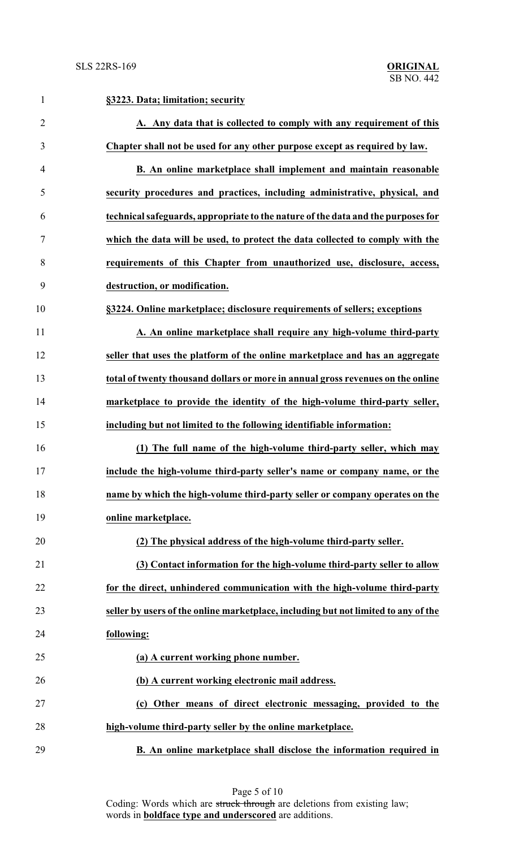| $\mathbf{1}$   | §3223. Data; limitation; security                                                  |
|----------------|------------------------------------------------------------------------------------|
| $\overline{2}$ | A. Any data that is collected to comply with any requirement of this               |
| 3              | Chapter shall not be used for any other purpose except as required by law.         |
| $\overline{4}$ | B. An online marketplace shall implement and maintain reasonable                   |
| 5              | security procedures and practices, including administrative, physical, and         |
| 6              | technical safeguards, appropriate to the nature of the data and the purposes for   |
| 7              | which the data will be used, to protect the data collected to comply with the      |
| 8              | requirements of this Chapter from unauthorized use, disclosure, access,            |
| 9              | destruction, or modification.                                                      |
| 10             | §3224. Online marketplace; disclosure requirements of sellers; exceptions          |
| 11             | A. An online marketplace shall require any high-volume third-party                 |
| 12             | seller that uses the platform of the online marketplace and has an aggregate       |
| 13             | total of twenty thousand dollars or more in annual gross revenues on the online    |
| 14             | marketplace to provide the identity of the high-volume third-party seller,         |
| 15             | including but not limited to the following identifiable information:               |
| 16             | (1) The full name of the high-volume third-party seller, which may                 |
| 17             | include the high-volume third-party seller's name or company name, or the          |
| 18             | name by which the high-volume third-party seller or company operates on the        |
| 19             | online marketplace.                                                                |
| 20             | (2) The physical address of the high-volume third-party seller.                    |
| 21             | (3) Contact information for the high-volume third-party seller to allow            |
| 22             | for the direct, unhindered communication with the high-volume third-party          |
| 23             | seller by users of the online marketplace, including but not limited to any of the |
| 24             | following:                                                                         |
| 25             | (a) A current working phone number.                                                |
| 26             | (b) A current working electronic mail address.                                     |
| 27             | (c) Other means of direct electronic messaging, provided to the                    |
| 28             | high-volume third-party seller by the online marketplace.                          |
| 29             | B. An online marketplace shall disclose the information required in                |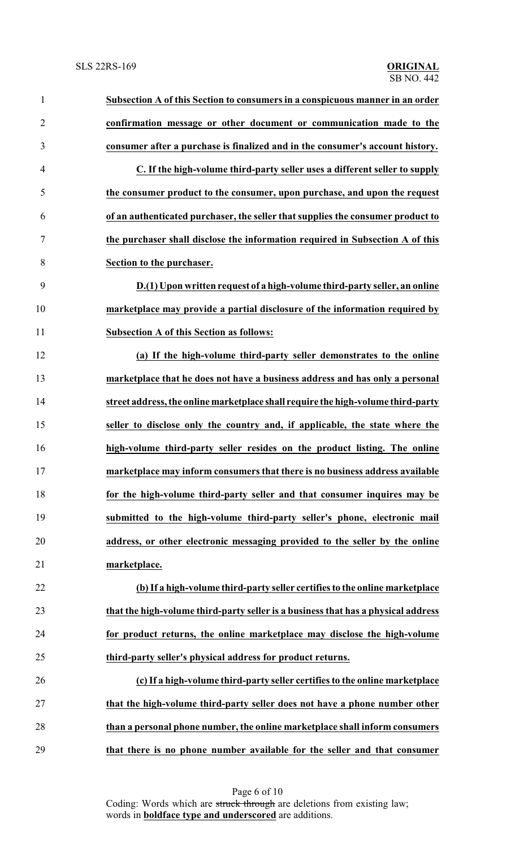| $\mathbf{1}$   | Subsection A of this Section to consumers in a conspicuous manner in an order     |
|----------------|-----------------------------------------------------------------------------------|
| $\overline{2}$ | confirmation message or other document or communication made to the               |
| 3              | consumer after a purchase is finalized and in the consumer's account history.     |
| $\overline{4}$ | C. If the high-volume third-party seller uses a different seller to supply        |
| 5              | the consumer product to the consumer, upon purchase, and upon the request         |
| 6              | of an authenticated purchaser, the seller that supplies the consumer product to   |
| 7              | the purchaser shall disclose the information required in Subsection A of this     |
| 8              | Section to the purchaser.                                                         |
| 9              | D.(1) Upon written request of a high-volume third-party seller, an online         |
| 10             | marketplace may provide a partial disclosure of the information required by       |
| 11             | <b>Subsection A of this Section as follows:</b>                                   |
| 12             | (a) If the high-volume third-party seller demonstrates to the online              |
| 13             | marketplace that he does not have a business address and has only a personal      |
| 14             | street address, the online marketplace shall require the high-volume third-party  |
| 15             | seller to disclose only the country and, if applicable, the state where the       |
| 16             | high-volume third-party seller resides on the product listing. The online         |
| 17             | marketplace may inform consumers that there is no business address available      |
| 18             | for the high-volume third-party seller and that consumer inquires may be          |
| 19             | submitted to the high-volume third-party seller's phone, electronic mail          |
| 20             | address, or other electronic messaging provided to the seller by the online       |
| 21             | marketplace.                                                                      |
| 22             | (b) If a high-volume third-party seller certifies to the online marketplace       |
| 23             | that the high-volume third-party seller is a business that has a physical address |
| 24             | for product returns, the online marketplace may disclose the high-volume          |
| 25             | third-party seller's physical address for product returns.                        |
| 26             | (c) If a high-volume third-party seller certifies to the online marketplace       |
| 27             | that the high-volume third-party seller does not have a phone number other        |
| 28             | than a personal phone number, the online marketplace shall inform consumers       |
| 29             | that there is no phone number available for the seller and that consumer          |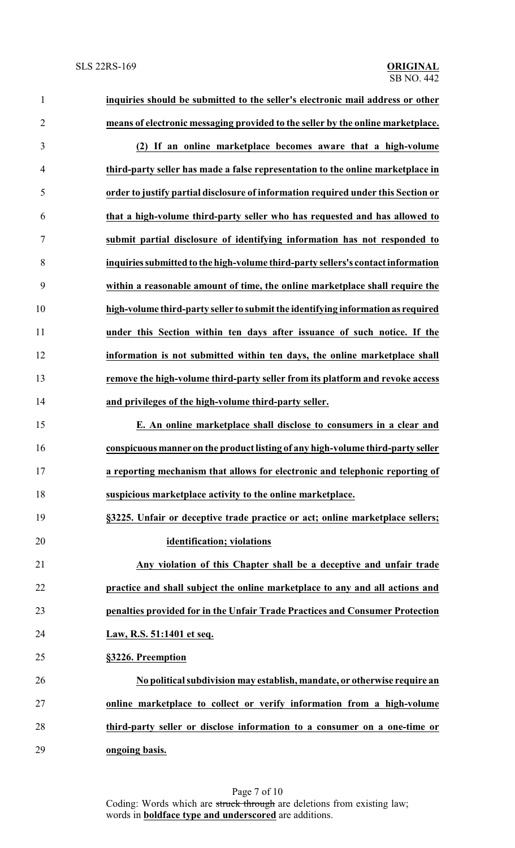| $\mathbf{1}$   | inquiries should be submitted to the seller's electronic mail address or other    |
|----------------|-----------------------------------------------------------------------------------|
| $\overline{2}$ | means of electronic messaging provided to the seller by the online marketplace.   |
| $\mathfrak{Z}$ | (2) If an online marketplace becomes aware that a high-volume                     |
| $\overline{4}$ | third-party seller has made a false representation to the online marketplace in   |
| 5              | order to justify partial disclosure of information required under this Section or |
| 6              | that a high-volume third-party seller who has requested and has allowed to        |
| $\overline{7}$ | submit partial disclosure of identifying information has not responded to         |
| 8              | inquiries submitted to the high-volume third-party sellers's contact information  |
| 9              | within a reasonable amount of time, the online marketplace shall require the      |
| 10             | high-volume third-party seller to submit the identifying information as required  |
| 11             | under this Section within ten days after issuance of such notice. If the          |
| 12             | information is not submitted within ten days, the online marketplace shall        |
| 13             | remove the high-volume third-party seller from its platform and revoke access     |
| 14             | and privileges of the high-volume third-party seller.                             |
| 15             | E. An online marketplace shall disclose to consumers in a clear and               |
| 16             | conspicuous manner on the product listing of any high-volume third-party seller   |
| 17             | a reporting mechanism that allows for electronic and telephonic reporting of      |
| 18             | suspicious marketplace activity to the online marketplace.                        |
| 19             | §3225. Unfair or deceptive trade practice or act; online marketplace sellers;     |
| 20             | identification; violations                                                        |
| 21             | Any violation of this Chapter shall be a deceptive and unfair trade               |
| 22             | practice and shall subject the online marketplace to any and all actions and      |
| 23             | penalties provided for in the Unfair Trade Practices and Consumer Protection      |
| 24             | Law, R.S. 51:1401 et seq.                                                         |
| 25             | §3226. Preemption                                                                 |
| 26             | No political subdivision may establish, mandate, or otherwise require an          |
| 27             | online marketplace to collect or verify information from a high-volume            |
| 28             | third-party seller or disclose information to a consumer on a one-time or         |
| 29             | ongoing basis.                                                                    |

Page 7 of 10 Coding: Words which are struck through are deletions from existing law; words in **boldface type and underscored** are additions.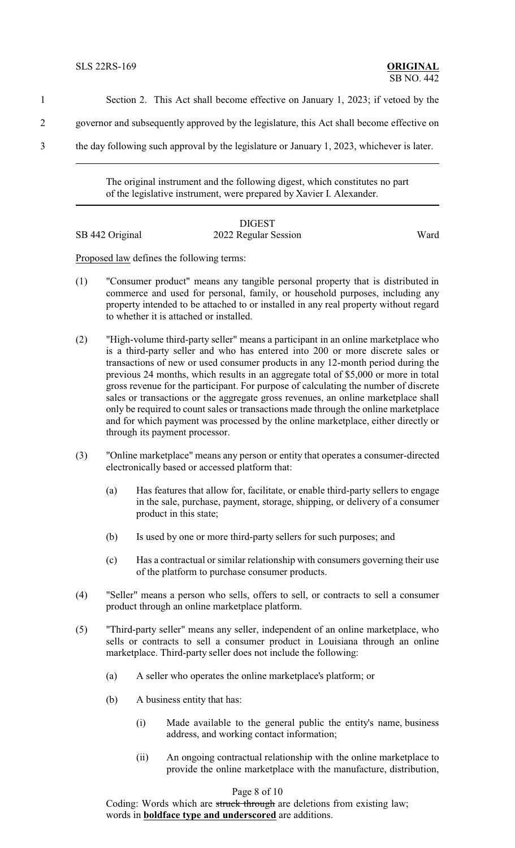- 1 Section 2. This Act shall become effective on January 1, 2023; if vetoed by the
- 2 governor and subsequently approved by the legislature, this Act shall become effective on
- 3 the day following such approval by the legislature or January 1, 2023, whichever is later.

The original instrument and the following digest, which constitutes no part of the legislative instrument, were prepared by Xavier I. Alexander.

## DIGEST SB 442 Original 2022 Regular Session Ward

Proposed law defines the following terms:

- (1) "Consumer product" means any tangible personal property that is distributed in commerce and used for personal, family, or household purposes, including any property intended to be attached to or installed in any real property without regard to whether it is attached or installed.
- (2) "High-volume third-party seller" means a participant in an online marketplace who is a third-party seller and who has entered into 200 or more discrete sales or transactions of new or used consumer products in any 12-month period during the previous 24 months, which results in an aggregate total of \$5,000 or more in total gross revenue for the participant. For purpose of calculating the number of discrete sales or transactions or the aggregate gross revenues, an online marketplace shall only be required to count sales or transactions made through the online marketplace and for which payment was processed by the online marketplace, either directly or through its payment processor.
- (3) "Online marketplace" means any person or entity that operates a consumer-directed electronically based or accessed platform that:
	- (a) Has features that allow for, facilitate, or enable third-party sellers to engage in the sale, purchase, payment, storage, shipping, or delivery of a consumer product in this state;
	- (b) Is used by one or more third-party sellers for such purposes; and
	- (c) Has a contractual or similar relationship with consumers governing their use of the platform to purchase consumer products.
- (4) "Seller" means a person who sells, offers to sell, or contracts to sell a consumer product through an online marketplace platform.
- (5) "Third-party seller" means any seller, independent of an online marketplace, who sells or contracts to sell a consumer product in Louisiana through an online marketplace. Third-party seller does not include the following:
	- (a) A seller who operates the online marketplace's platform; or
	- (b) A business entity that has:
		- (i) Made available to the general public the entity's name, business address, and working contact information;
		- (ii) An ongoing contractual relationship with the online marketplace to provide the online marketplace with the manufacture, distribution,

## Page 8 of 10

Coding: Words which are struck through are deletions from existing law; words in **boldface type and underscored** are additions.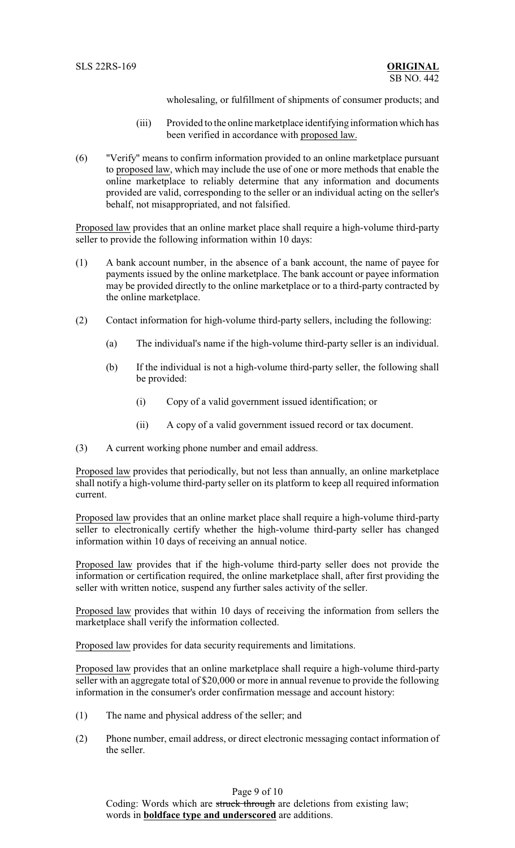wholesaling, or fulfillment of shipments of consumer products; and

- (iii) Provided to the online marketplace identifying information which has been verified in accordance with proposed law.
- (6) "Verify" means to confirm information provided to an online marketplace pursuant to proposed law, which may include the use of one or more methods that enable the online marketplace to reliably determine that any information and documents provided are valid, corresponding to the seller or an individual acting on the seller's behalf, not misappropriated, and not falsified.

Proposed law provides that an online market place shall require a high-volume third-party seller to provide the following information within 10 days:

- (1) A bank account number, in the absence of a bank account, the name of payee for payments issued by the online marketplace. The bank account or payee information may be provided directly to the online marketplace or to a third-party contracted by the online marketplace.
- (2) Contact information for high-volume third-party sellers, including the following:
	- (a) The individual's name if the high-volume third-party seller is an individual.
	- (b) If the individual is not a high-volume third-party seller, the following shall be provided:
		- (i) Copy of a valid government issued identification; or
		- (ii) A copy of a valid government issued record or tax document.
- (3) A current working phone number and email address.

Proposed law provides that periodically, but not less than annually, an online marketplace shall notify a high-volume third-party seller on its platform to keep all required information current.

Proposed law provides that an online market place shall require a high-volume third-party seller to electronically certify whether the high-volume third-party seller has changed information within 10 days of receiving an annual notice.

Proposed law provides that if the high-volume third-party seller does not provide the information or certification required, the online marketplace shall, after first providing the seller with written notice, suspend any further sales activity of the seller.

Proposed law provides that within 10 days of receiving the information from sellers the marketplace shall verify the information collected.

Proposed law provides for data security requirements and limitations.

Proposed law provides that an online marketplace shall require a high-volume third-party seller with an aggregate total of \$20,000 or more in annual revenue to provide the following information in the consumer's order confirmation message and account history:

- (1) The name and physical address of the seller; and
- (2) Phone number, email address, or direct electronic messaging contact information of the seller.

Page 9 of 10

Coding: Words which are struck through are deletions from existing law; words in **boldface type and underscored** are additions.